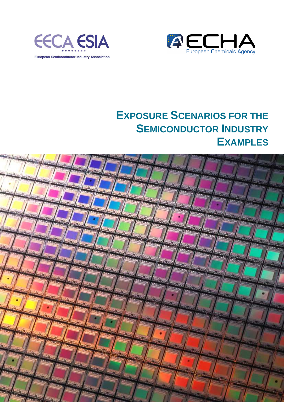



# **EXPOSURE SCENARIOS FOR THE SEMICONDUCTOR INDUSTRY EXAMPLES**

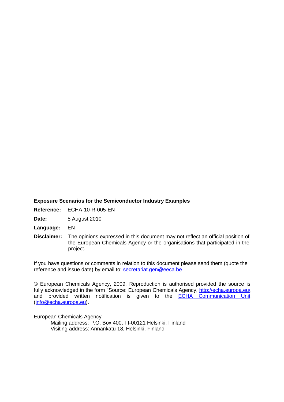### **Exposure Scenarios for the Semiconductor Industry Examples**

**Reference:** ECHA-10-R-005-EN

**Date:** 5 August 2010

**Language:** EN

**Disclaimer:** The opinions expressed in this document may not reflect an official position of the European Chemicals Agency or the organisations that participated in the project.

If you have questions or comments in relation to this document please send them (quote the reference and issue date) by email to: secretariat.gen@eeca.be

© European Chemicals Agency, 2009. Reproduction is authorised provided the source is fully acknowledged in the form "Source: European Chemicals Agency, http://echa.europa.eu/, and provided written notification is given to the **ECHA Communication Unit** (info@echa.europa.eu).

European Chemicals Agency

 Mailing address: P.O. Box 400, FI-00121 Helsinki, Finland Visiting address: Annankatu 18, Helsinki, Finland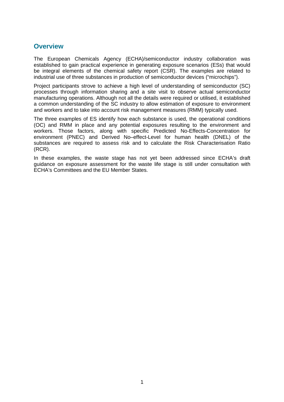## **Overview**

The European Chemicals Agency (ECHA)/semiconductor industry collaboration was established to gain practical experience in generating exposure scenarios (ESs) that would be integral elements of the chemical safety report (CSR). The examples are related to industrial use of three substances in production of semiconductor devices ("microchips").

Project participants strove to achieve a high level of understanding of semiconductor (SC) processes through information sharing and a site visit to observe actual semiconductor manufacturing operations. Although not all the details were required or utilised, it established a common understanding of the SC industry to allow estimation of exposure to environment and workers and to take into account risk management measures (RMM) typically used.

The three examples of ES identify how each substance is used, the operational conditions (OC) and RMM in place and any potential exposures resulting to the environment and workers. Those factors, along with specific Predicted No-Effects-Concentration for environment (PNEC) and Derived No–effect-Level for human health (DNEL) of the substances are required to assess risk and to calculate the Risk Characterisation Ratio (RCR).

In these examples, the waste stage has not yet been addressed since ECHA's draft guidance on exposure assessment for the waste life stage is still under consultation with ECHA's Committees and the EU Member States.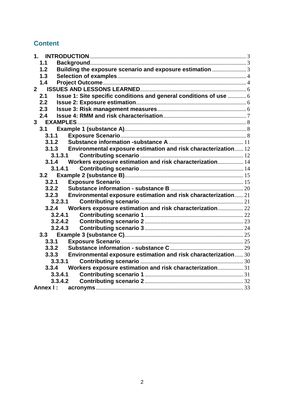## **Content**

| 1.1         |                                                                      |  |
|-------------|----------------------------------------------------------------------|--|
| 1.2         | Building the exposure scenario and exposure estimation 3             |  |
| 1.3         |                                                                      |  |
| 1.4         |                                                                      |  |
| $2^{\circ}$ |                                                                      |  |
| 2.1         | Issue 1: Site specific conditions and general conditions of use  6   |  |
| 2.2         |                                                                      |  |
| 2.3         |                                                                      |  |
| 2.4         |                                                                      |  |
|             |                                                                      |  |
| 3.1         |                                                                      |  |
| 3.1.1       |                                                                      |  |
| 3.1.2       |                                                                      |  |
|             | 3.1.3 Environmental exposure estimation and risk characterization 12 |  |
|             | 3.1.3.1                                                              |  |
|             | 3.1.4 Workers exposure estimation and risk characterization 14       |  |
|             | 3.1.4.1                                                              |  |
| 3.2.1       |                                                                      |  |
| 3.2.2       |                                                                      |  |
| 3.2.3       | Environmental exposure estimation and risk characterization 21       |  |
|             | 3,2,3,1                                                              |  |
|             | 3.2.4 Workers exposure estimation and risk characterization 22       |  |
|             | 3.2.4.1                                                              |  |
|             | 3.2.4.2                                                              |  |
|             | 3.2.4.3                                                              |  |
|             |                                                                      |  |
| 3.3.1       |                                                                      |  |
| 3.3.2       |                                                                      |  |
| 3.3.3       | Environmental exposure estimation and risk characterization 30       |  |
|             | 3,3,3,1                                                              |  |
| 3.3.4       | Workers exposure estimation and risk characterization 31             |  |
|             | 3.3.4.1                                                              |  |
|             | 3.3.4.2                                                              |  |
|             |                                                                      |  |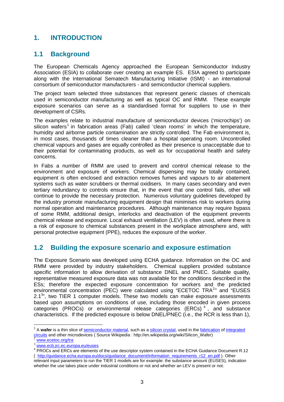## **1. INTRODUCTION**

## **1.1 Background**

The European Chemicals Agency approached the European Semiconductor Industry Association (ESIA) to collaborate over creating an example ES. ESIA agreed to participate along with the International Sematech Manufacturing Initiative (ISMI) - an international consortium of semiconductor manufacturers - and semiconductor chemical suppliers.

The project team selected three substances that represent generic classes of chemicals used in semiconductor manufacturing as well as typical OC and RMM. These example exposure scenarios can serve as a standardised format for suppliers to use in their development of CSRs.

The examples relate to industrial manufacture of semiconductor devices ('microchips') on silicon wafers<sup>1</sup> in fabrication areas (Fab) called 'clean rooms' in which the temperature, humidity and airborne particle contamination are strictly controlled. The Fab environment is, in most cases, thousands of times cleaner than a hospital operating room. Uncontrolled chemical vapours and gases are equally controlled as their presence is unacceptable due to their potential for contaminating products, as well as for occupational health and safety concerns.

In Fabs a number of RMM are used to prevent and control chemical release to the environment and exposure of workers. Chemical dispensing may be totally contained, equipment is often enclosed and extraction removes fumes and vapours to air abatement systems such as water scrubbers or thermal oxidisers. In many cases secondary and even tertiary redundancy to controls ensure that, in the event that one control fails, other will continue to provide the necessary protection. Numerous voluntary guidelines developed by the industry promote manufacturing equipment design that minimises risk to workers during normal operation and maintenance procedures. Although maintenance may require bypass of some RMM, additional design, interlocks and deactivation of the equipment prevents chemical release and exposure. Local exhaust ventilation (LEV) is often used, where there is a risk of exposure to chemical substances present in the workplace atmosphere and, with personal protective equipment (PPE), reduces the exposure of the worker.

## **1.2 Building the exposure scenario and exposure estimation**

The Exposure Scenario was developed using ECHA guidance. Information on the OC and RMM were provided by industry stakeholders. Chemical suppliers provided substance specific information to allow derivation of substance DNEL and PNEC. Suitable quality, representative measured exposure data was not available for the conditions described in the ESs; therefore the expected exposure concentration for workers and the predicted environmental concentration (PEC) were calculated using "ECETOC TRA $2$ " and "EUSES 2.1<sup>3</sup>", two TIER 1 computer models. These two models can make exposure assessments based upon assumptions on conditions of use, including those encoded in given process categories (PROCs) or environmental release categories (ERCs)<sup>4</sup>, and substance characteristics. If the predicted exposure is below DNEL/PNEC (i.e., the RCR is less than 1),

www.ecetoc.org/tra

 $\overline{a}$ 

<sup>&</sup>lt;sup>1</sup> A wafer is a thin slice of **semiconductor material**, such as a silicon crystal, used in the fabrication of integrated circuits and other microdevices ( Source Wikipedia : http://en.wikipedia.org/wiki/Silicon\_Wafer)

<sup>3</sup> www.ecb.jrc.ec.europa.eu/euses

<sup>&</sup>lt;sup>4</sup> PROCs and ERCs are elements of the use descriptor system contained in the ECHA Guidance Document R.12 ( http://guidance.echa.europa.eu/docs/guidance\_document/information\_requirements\_r12\_en.pdf ). Other

relevant input parameters to run the TIER 1 models are for example: the substance amount (EUSES), indication whether the use takes place under industrial conditions or not and whether an LEV is present or not.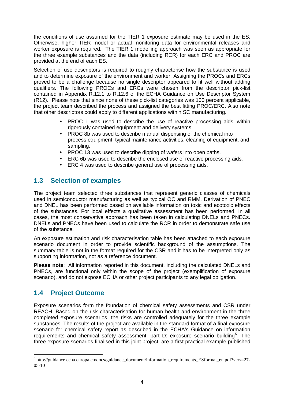the conditions of use assumed for the TIER 1 exposure estimate may be used in the ES. Otherwise, higher TIER model or actual monitoring data for environmental releases and worker exposure is required. The TIER 1 modelling approach was seen as appropriate for the three example substances and the data (including RCR) for each ERC and PROC are provided at the end of each ES.

Selection of use descriptors is required to roughly characterise how the substance is used and to determine exposure of the environment and worker. Assigning the PROCs and ERCs proved to be a challenge because no single descriptor appeared to fit well without adding qualifiers. The following PROCs and ERCs were chosen from the descriptor pick-list contained in Appendix R.12.1 to R.12.6 of the ECHA Guidance on Use Descriptor System (R12). Please note that since none of these pick-list categories was 100 percent applicable, the project team described the process and assigned the best fitting PROC/ERC. Also note that other descriptors could apply to different applications within SC manufacturing.

- PROC 1 was used to describe the use of reactive processing aids within rigorously contained equipment and delivery systems.
- PROC 8b was used to describe manual dispensing of the chemical into process equipment, typical maintenance activities, cleaning of equipment, and sampling.
- PROC 13 was used to describe dipping of wafers into open baths.
- ERC 6b was used to describe the enclosed use of reactive processing aids.
- ERC 4 was used to describe general use of processing aids.

## **1.3 Selection of examples**

The project team selected three substances that represent generic classes of chemicals used in semiconductor manufacturing as well as typical OC and RMM. Derivation of PNEC and DNEL has been performed based on available information on toxic and ecotoxic effects of the substances. For local effects a qualitative assessment has been performed. In all cases, the most conservative approach has been taken in calculating DNELs and PNECs. DNELs and PNECs have been used to calculate the RCR in order to demonstrate safe use of the substance.

An exposure estimation and risk characterisation table has been attached to each exposure scenario document in order to provide scientific background of the assumptions. The summary table is not in the format required for the CSR and it has to be interpreted only as supporting information, not as a reference document.

**Please note**: All information reported in this document, including the calculated DNELs and PNECs, are functional only within the scope of the project (exemplification of exposure scenario), and do not expose ECHA or other project participants to any legal obligation.

## **1.4 Project Outcome**

 $\overline{a}$ 

Exposure scenarios form the foundation of chemical safety assessments and CSR under REACH. Based on the risk characterisation for human health and environment in the three completed exposure scenarios, the risks are controlled adequately for the three example substances. The results of the project are available in the standard format of a final exposure scenario for chemical safety report as described in the ECHA's Guidance on information requirements and chemical safety assessment, part D: exposure scenario building<sup>5</sup>. The three exposure scenarios finalised in this joint project, are a first practical example published

<sup>5</sup> http://guidance.echa.europa.eu/docs/guidance\_document/information\_requirements\_ESformat\_en.pdf?vers=27- 05-10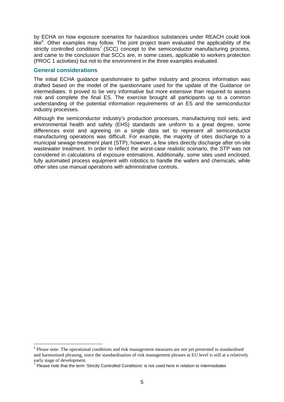by ECHA on how exposure scenarios for hazardous substances under REACH could look like $<sup>6</sup>$ . Other examples may follow. The joint project team evaluated the applicability of the</sup> strictly controlled conditions<sup>7</sup> (SCC) concept to the semiconductor manufacturing process, and came to the conclusion that SCCs are, in some cases, applicable to workers protection (PROC 1 activities) but not to the environment in the three examples evaluated.

### **General considerations**

 $\overline{a}$ 

The initial ECHA guidance questionnaire to gather industry and process information was drafted based on the model of the questionnaire used for the update of the Guidance on intermediates. It proved to be very informative but more extensive than required to assess risk and complete the final ES. The exercise brought all participants up to a common understanding of the potential information requirements of an ES and the semiconductor industry processes.

Although the semiconductor industry's production processes, manufacturing tool sets, and environmental health and safety (EHS) standards are uniform to a great degree, some differences exist and agreeing on a single data set to represent all semiconductor manufacturing operations was difficult. For example, the majority of sites discharge to a municipal sewage treatment plant (STP); however, a few sites directly discharge after on-site wastewater treatment. In order to reflect the worst-case realistic scenario, the STP was not considered in calculations of exposure estimations. Additionally, some sites used enclosed, fully automated process equipment with robotics to handle the wafers and chemicals, while other sites use manual operations with administrative controls.

<sup>&</sup>lt;sup>6</sup> Please note: The operational conditions and risk management measures are not yet presented in standardised and harmonised phrasing, since the standardisation of risk management phrases at EU level is still at a relatively early stage of development.

<sup>&</sup>lt;sup>7</sup> Please note that the term 'Strictly Controlled Conditions' is not used here in relation to intermediates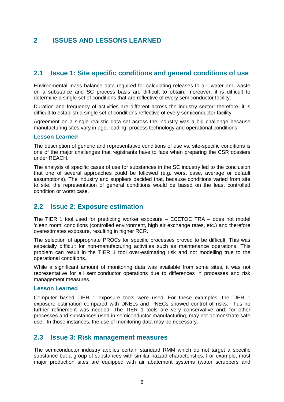## **2 ISSUES AND LESSONS LEARNED**

## **2.1 Issue 1: Site specific conditions and general conditions of use**

Environmental mass balance data required for calculating releases to air, water and waste on a substance and SC process basis are difficult to obtain; moreover, it is difficult to determine a single set of conditions that are reflective of every semiconductor facility.

Duration and frequency of activities are different across the industry sector; therefore, it is difficult to establish a single set of conditions reflective of every semiconductor facility.

Agreement on a single realistic data set across the industry was a big challenge because manufacturing sites vary in age, loading, process technology and operational conditions.

### **Lesson Learned**

The description of generic and representative conditions of use vs. site-specific conditions is one of the major challenges that registrants have to face when preparing the CSR dossiers under REACH.

The analysis of specific cases of use for substances in the SC industry led to the conclusion that one of several approaches could be followed (e.g. worst case, average or default assumptions). The industry and suppliers decided that, because conditions varied from site to site, the representation of general conditions would be based on the least controlled condition or worst case.

## **2.2 Issue 2: Exposure estimation**

The TIER 1 tool used for predicting worker exposure – ECETOC TRA – does not model 'clean room' conditions (controlled environment, high air exchange rates, etc.) and therefore overestimates exposure, resulting in higher RCR.

The selection of appropriate PROCs for specific processes proved to be difficult. This was especially difficult for non-manufacturing activities such as maintenance operations. This problem can result in the TIER 1 tool over-estimating risk and not modelling true to the operational conditions.

While a significant amount of monitoring data was available from some sites, it was not representative for all semiconductor operations due to differences in processes and risk management measures.

### **Lesson Learned**

Computer based TIER 1 exposure tools were used. For these examples, the TIER 1 exposure estimation compared with DNELs and PNECs showed control of risks. Thus no further refinement was needed. The TIER 1 tools are very conservative and, for other processes and substances used in semiconductor manufacturing, may not demonstrate safe use. In those instances, the use of monitoring data may be necessary.

## **2.3 Issue 3: Risk management measures**

The semiconductor industry applies certain standard RMM which do not target a specific substance but a group of substances with similar hazard characteristics. For example, most major production sites are equipped with air abatement systems (water scrubbers and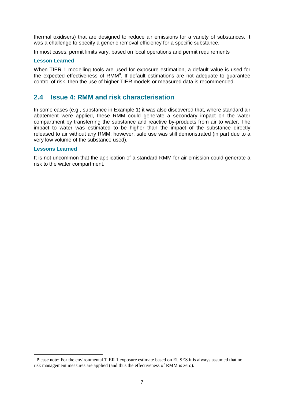thermal oxidisers) that are designed to reduce air emissions for a variety of substances. It was a challenge to specify a generic removal efficiency for a specific substance.

In most cases, permit limits vary, based on local operations and permit requirements

### **Lesson Learned**

When TIER 1 modelling tools are used for exposure estimation, a default value is used for the expected effectiveness of  $RMM<sup>8</sup>$ . If default estimations are not adequate to guarantee control of risk, then the use of higher TIER models or measured data is recommended.

### **2.4 Issue 4: RMM and risk characterisation**

In some cases (e.g., substance in Example 1) it was also discovered that, where standard air abatement were applied, these RMM could generate a secondary impact on the water compartment by transferring the substance and reactive by-products from air to water. The impact to water was estimated to be higher than the impact of the substance directly released to air without any RMM; however, safe use was still demonstrated (in part due to a very low volume of the substance used).

### **Lessons Learned**

 $\overline{a}$ 

It is not uncommon that the application of a standard RMM for air emission could generate a risk to the water compartment.

<sup>&</sup>lt;sup>8</sup> Please note: For the environmental TIER 1 exposure estimate based on EUSES it is always assumed that no risk management measures are applied (and thus the effectiveness of RMM is zero).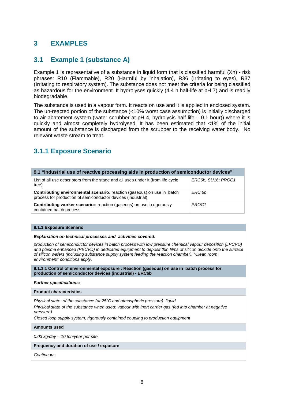## **3 EXAMPLES**

## **3.1 Example 1 (substance A)**

Example 1 is representative of a substance in liquid form that is classified harmful (Xn) - risk phrases: R10 (Flammable), R20 (Harmful by inhalation), R36 (Irritating to eyes), R37 (Irritating to respiratory system). The substance does not meet the criteria for being classified as hazardous for the environment. It hydrolyses quickly (4.4 h half-life at pH 7) and is readily biodegradable.

The substance is used in a vapour form. It reacts on use and it is applied in enclosed system. The un-reacted portion of the substance (<10% worst case assumption) is initially discharged to air abatement system (water scrubber at pH 4, hydrolysis half-life – 0.1 hour)) where it is quickly and almost completely hydrolysed. It has been estimated that <1% of the initial amount of the substance is discharged from the scrubber to the receiving water body. No relevant waste stream to treat.

## **3.1.1 Exposure Scenario**

| 9.1 "Industrial use of reactive processing aids in production of semiconductor devices"                                                        |                    |  |  |
|------------------------------------------------------------------------------------------------------------------------------------------------|--------------------|--|--|
| List of all use descriptors from the stage and all uses under it (from life cycle<br>tree)                                                     | ERC6b, SU16; PROC1 |  |  |
| <b>Contributing environmental scenario:</b> reaction (gaseous) on use in batch<br>process for production of semiconductor devices (industrial) | ERC 6b             |  |  |
| <b>Contributing worker scenario::</b> reaction (gaseous) on use in rigorously<br>contained batch process                                       | PROC <sub>1</sub>  |  |  |

### **9.1.1 Exposure Scenario**

### **Explanation on technical processes and activities covered:**

production of semiconductor devices in batch process with low pressure chemical vapour deposition (LPCVD) and plasma enhanced (PECVD) in dedicated equipment to deposit thin films of silicon dioxide onto the surface of silicon wafers (including substance supply system feeding the reaction chamber). "Clean room environment" conditions apply.

**9.1.1.1 Control of environmental exposure : Reaction (gaseous) on use in batch process for production of semiconductor devices (industrial) - ERC6b** 

**Further specifications:** 

**Product characteristics** 

Physical state of the substance (at 25˚C and atmospheric pressure): liquid

Physical state of the substance when used: vapour with inert carrier gas (fed into chamber at negative pressure)

Closed loop supply system, rigorously contained coupling to production equipment

**Amounts used** 

0.03 kg/day – 10 ton/year per site

### **Frequency and duration of use / exposure**

Continuous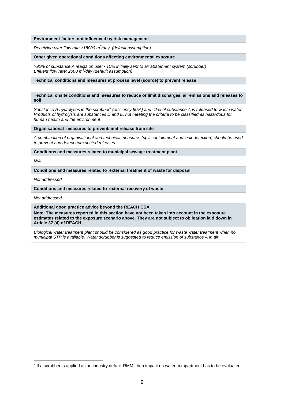#### **Environment factors not influenced by risk management**

Receiving river flow rate ≥18000 m<sup>3</sup>/day, (default assumption)

#### **Other given operational conditions affecting environmental exposure**

>90% of substance A reacts on use: <10% initially sent to air abatement system (scrubber) Effluent flow rate: 2000  $m^3$ /day (default assumption)

**Technical conditions and measures at process level (source) to prevent release** 

**Technical onsite conditions and measures to reduce or limit discharges, air emissions and releases to soil** 

Substance A hydrolyses in the scrubber<sup>9</sup> (efficiency 90%) and <1% of substance A is released to waste water Products of hydrolysis are substances D and E, not meeting the criteria to be classified as hazardous for human health and the environment

**Organisational measures to prevent/limit release from site** 

A combination of organisational and technical measures (spill containment and leak detection) should be used to prevent and detect unexpected releases

**Conditions and measures related to municipal sewage treatment plant** 

 $N/A$ 

 $\overline{\phantom{a}}$ 

**Conditions and measures related to external treatment of waste for disposal** 

Not addressed

**Conditions and measures related to external recovery of waste**

Not addressed

**Additional good practice advice beyond the REACH CSA**

**Note: The measures reported in this section have not been taken into account in the exposure estimates related to the exposure scenario above. They are not subject to obligation laid down in Article 37 (4) of REACH**

Biological water treatment plant should be considered as good practice for waste water treatment when no municipal STP is available. Water scrubber is suggested to reduce emission of substance A in air

 $9$  If a scrubber is applied as an industry default RMM, then impact on water compartment has to be evaluated.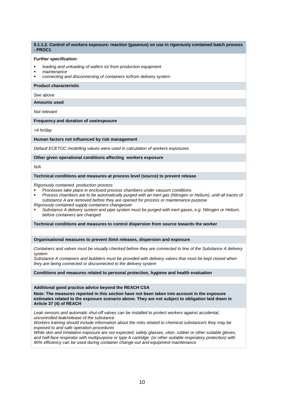**9.1.1.2. Control of workers exposure: reaction (gaseous) on use in rigorously contained batch process - PROC1** 

#### **Further specification:**

- loading and unloading of wafers to/ from production equipment
- maintenance
- connecting and disconnecting of containers to/from delivery system

#### **Product characteristic**

See above

**Amounts used** 

Not relevant

#### **Frequency and duration of use/exposure**

>4 hr/day

#### **Human factors not influenced by risk management**

Default ECETOC modelling values were used in calculation of workers exposures

**Other given operational conditions affecting workers exposure**

N/A

#### **Technical conditions and measures at process level (source) to prevent release**

Rigorously contained production process

- Processes take place in enclosed process chambers under vacuum conditions
- Process chambers are to be automatically purged with an inert gas (Nitrogen or Helium), until all traces of substance A are removed before they are opened for process or maintenance purpose
- Rigorously contained supply containers changeover Substance A delivery system and pipe system must be purged with inert gases, e.g. Nitrogen or Helium,
- before containers are changed

**Technical conditions and measures to control dispersion from source towards the worker** 

**Organisational measures to prevent /limit releases, dispersion and exposure**

Containers and valves must be visually checked before they are connected to line of the Substance A delivery system

Substance A containers and bubblers must be provided with delivery valves that must be kept closed when they are being connected or disconnected to the delivery system

**Conditions and measures related to personal protection, hygiene and health evaluation** 

**Additional good practice advice beyond the REACH CSA**

**Note: The measures reported in this section have not been taken into account in the exposure estimates related to the exposure scenario above. They are not subject to obligation laid down in Article 37 (4) of REACH**

Leak sensors and automatic shut-off valves can be installed to protect workers against accidental, uncontrolled leak/release of the substance

Workers training should include information about the risks related to chemical substance/s they may be exposed to and safe operation procedures

While skin and inhalation exposure are not expected, safety glasses, viton, rubber or other suitable gloves, and half-face respirator with multipurpose or type A cartridge (or other suitable respiratory protection) with 90% efficiency can be used during container change-out and equipment maintenance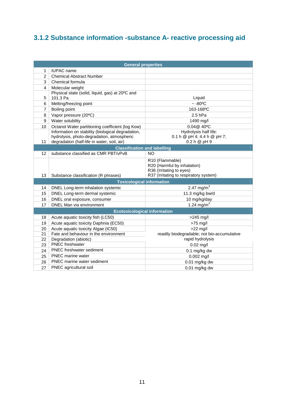# **3.1.2 Substance information -substance A- reactive processing aid**

| <b>General properties</b> |                                                   |                                                                                                                      |  |  |
|---------------------------|---------------------------------------------------|----------------------------------------------------------------------------------------------------------------------|--|--|
| 1                         | <b>IUPAC</b> name                                 |                                                                                                                      |  |  |
| 2                         | <b>Chemical Abstract Number</b>                   |                                                                                                                      |  |  |
| 3                         | Chemical formula                                  |                                                                                                                      |  |  |
| 4                         | Molecular weight                                  |                                                                                                                      |  |  |
|                           | Physical state (solid, liquid, gas) at 20°C and   |                                                                                                                      |  |  |
| 5                         | 101.3 Pa                                          | Liquid                                                                                                               |  |  |
| 6                         | Melting/freezing point                            | $~-80^{\circ}$ C                                                                                                     |  |  |
| $\overline{7}$            | Boiling point                                     | 163-168°C                                                                                                            |  |  |
| 8                         | Vapor pressure (20°C)                             | $2.5$ hPa                                                                                                            |  |  |
| 9                         | Water solubility                                  | 1490 mg/l                                                                                                            |  |  |
| 10                        | Octanol Water partitioning coefficient (log Kow)  | 0.04@ 40°C                                                                                                           |  |  |
|                           | Information on stability (biological degradation, | Hydrolysis half life:                                                                                                |  |  |
|                           | hydrolysis, photo-degradation, atmospheric        | 0.1 h $@$ pH 4; 4.4 h $@$ pH 7;                                                                                      |  |  |
| 11                        | degradation (half-life in water, soil, air)       | 0.2 h @ pH 9                                                                                                         |  |  |
|                           | <b>Classification and labelling</b>               |                                                                                                                      |  |  |
| 12                        | substance classified as CMR PBT/vPvB              | <b>NO</b>                                                                                                            |  |  |
| 13                        | Substance classification (R phrases)              | R10 (Flammable)<br>R20 (Harmful by inhalation)<br>R36 (Irritating to eyes)<br>R37 (Irritating to respiratory system) |  |  |
|                           | <b>Toxicological information</b>                  |                                                                                                                      |  |  |
| 14                        | DNEL Long-term inhalation systemic                | $2.47$ mg/m <sup>3</sup>                                                                                             |  |  |
| 15                        | DNEL Long-term dermal systemic                    | 11.3 mg/kg bw/d                                                                                                      |  |  |
| 16                        | DNEL oral exposure, consumer                      | 10 mg/kg/day                                                                                                         |  |  |
| 17                        | DNEL Man via environment                          | 1.24 mg/m <sup>3</sup>                                                                                               |  |  |
|                           | <b>Ecotoxicological information</b>               |                                                                                                                      |  |  |
| 18                        | Acute aquatic toxicity fish (LC50)                | >245 mg/l                                                                                                            |  |  |
| 19                        | Acute aquatic toxicity Daphnia (EC50)             | $>75$ mg/l                                                                                                           |  |  |
| 20                        | Acute aquatic toxicity Algae (IC50)               | $>22$ mg/l                                                                                                           |  |  |
| 21                        | Fate and behaviour in the environment             | readily biodegradable; not bio-accumulative                                                                          |  |  |
| 22                        | Degradation (abiotic)                             | rapid hydrolysis                                                                                                     |  |  |
| 23                        | <b>PNEC</b> freshwater                            | $0.02$ mg/l                                                                                                          |  |  |
| 24                        | PNEC freshwater sediment                          | 0.1 mg/kg dw                                                                                                         |  |  |
| 25                        | PNEC marine water                                 | $0.002$ mg/l                                                                                                         |  |  |
| 26                        | <b>PNEC</b> marine water sediment                 | $0.01$ mg/kg dw                                                                                                      |  |  |
| 27                        | PNEC agricultural soil                            | $0.01$ mg/kg dw                                                                                                      |  |  |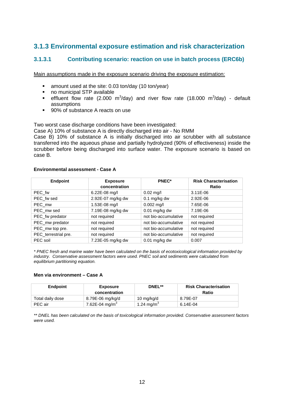## **3.1.3 Environmental exposure estimation and risk characterization**

## **3.1.3.1 Contributing scenario: reaction on use in batch process (ERC6b)**

Main assumptions made in the exposure scenario driving the exposure estimation:

- amount used at the site: 0.03 ton/day (10 ton/year)
- no municipal STP available
- **e** effluent flow rate (2.000 m<sup>3</sup>/day) and river flow rate (18.000 m<sup>3</sup>/day) default assumptions
- 90% of substance A reacts on use

Two worst case discharge conditions have been investigated:

Case A) 10% of substance A is directly discharged into air - No RMM

Case B) 10% of substance A is initially discharged into air scrubber with all substance transferred into the aqueous phase and partially hydrolyzed (90% of effectiveness) inside the scrubber before being discharged into surface water. The exposure scenario is based on case B.

### **Environmental assessment - Case A**

| <b>Endpoint</b>      | <b>Exposure</b><br>concentration | PNEC*                | <b>Risk Characterisation</b><br><b>Ratio</b> |
|----------------------|----------------------------------|----------------------|----------------------------------------------|
| PEC fw               | 6.22E-08 mg/l                    | $0.02 \text{ mg/l}$  | $3.11E-06$                                   |
| PEC fw sed           | 2.92E-07 mg/kg dw                | $0.1$ mg/kg dw       | 2.92E-06                                     |
| PEC mw               | 1.53E-08 mg/l                    | $0.002$ mg/l         | 7.65E-06                                     |
| PEC mw sed           | 7.19E-08 mg/kg dw                | $0.01$ mg/kg dw      | 7.19E-06                                     |
| PEC_fw predator      | not required                     | not bio-accumulative | not required                                 |
| PEC_mw predator      | not required                     | not bio-accumulative | not required                                 |
| PEC_mw top pre.      | not required                     | not bio-accumulative | not required                                 |
| PEC_terrestrial pre. | not required                     | not bio-accumulative | not required                                 |
| PEC soil             | 7.23E-05 mg/kg dw                | $0.01$ mg/kg dw      | 0.007                                        |

\* PNEC fresh and marine water have been calculated on the basis of ecotoxicological information provided by industry. Conservative assessment factors were used. PNEC soil and sediments were calculated from equilibrium partitioning equation.

### **Men via environment – Case A**

| Endpoint         | <b>Exposure</b><br>concentration | DNEL**         | <b>Risk Characterisation</b><br>Ratio |
|------------------|----------------------------------|----------------|---------------------------------------|
| Total daily dose | 8.79E-06 mg/kg/d                 | 10 mg/kg/d     | 8.79E-07                              |
| PEC air          | 7.62E-04 mg/m <sup>3</sup>       | 1.24 mg/m $^3$ | 6.14E-04                              |

\*\* DNEL has been calculated on the basis of toxicological information provided. Conservative assessment factors were used.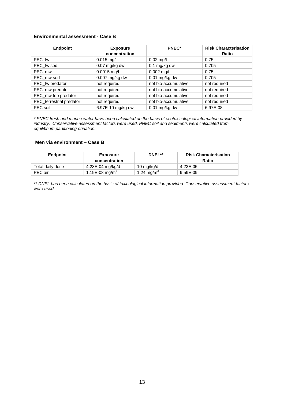### **Environmental assessment - Case B**

| <b>Endpoint</b>          | <b>Exposure</b><br>concentration | PNEC*                | <b>Risk Characterisation</b><br><b>Ratio</b> |
|--------------------------|----------------------------------|----------------------|----------------------------------------------|
| PEC fw                   | $0.015$ mg/l                     | $0.02$ mg/l          | 0.75                                         |
| PEC fw sed               | $0.07$ mg/kg dw                  | $0.1$ mg/kg dw       | 0.705                                        |
| PEC mw                   | $0.0015$ mg/l                    | $0.002$ mg/l         | 0.75                                         |
| PEC mw sed               | 0.007 mg/kg dw                   | $0.01$ mg/kg dw      | 0.705                                        |
| PEC_fw predator          | not required                     | not bio-accumulative | not required                                 |
| PEC_mw predator          | not required                     | not bio-accumulative | not required                                 |
| PEC_mw top predator      | not required                     | not bio-accumulative | not required                                 |
| PEC_terrestrial predator | not required                     | not bio-accumulative | not required                                 |
| PEC soil                 | 6.97E-10 mg/kg dw                | $0.01$ mg/kg dw      | 6.97E-08                                     |

\* PNEC fresh and marine water have been calculated on the basis of ecotoxicological information provided by industry. Conservative assessment factors were used. PNEC soil and sediments were calculated from equilibrium partitioning equation.

### **Men via environment – Case B**

| Endpoint         | <b>Exposure</b><br>concentration | DNEL**                 | <b>Risk Characterisation</b><br>Ratio |
|------------------|----------------------------------|------------------------|---------------------------------------|
| Total daily dose | 4.23E-04 mg/kg/d                 | 10 mg/kg/d             | 4.23E-05                              |
| PEC air          | 1.19E-08 mg/m <sup>3</sup>       | 1.24 mg/m <sup>3</sup> | 9.59E-09                              |

\*\* DNEL has been calculated on the basis of toxicological information provided. Conservative assessment factors were used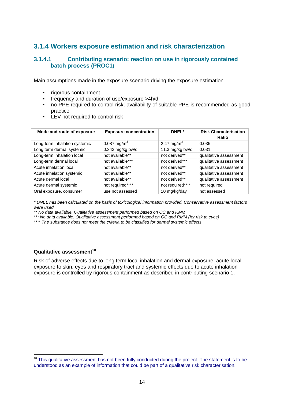## **3.1.4 Workers exposure estimation and risk characterization**

### **3.1.4.1 Contributing scenario: reaction on use in rigorously contained batch process (PROC1)**

Main assumptions made in the exposure scenario driving the exposure estimation

- **rigorous containment**
- frequency and duration of use/exposure >4h/d
- no PPE required to control risk; availability of suitable PPE is recommended as good practice
- **EX** LEV not required to control risk

| Mode and route of exposure    | <b>Exposure concentration</b> | DNEL*                  | <b>Risk Characterisation</b><br>Ratio |
|-------------------------------|-------------------------------|------------------------|---------------------------------------|
| Long-term inhalation systemic | 0.087 mg/m <sup>3</sup>       | 2.47 mg/m <sup>3</sup> | 0.035                                 |
| Long term dermal systemic     | 0.343 mg/kg bw/d              | 11.3 mg/kg bw/d        | 0.031                                 |
| Long-term inhalation local    | not available**               | not derived**          | qualitative assessment                |
| Long-term dermal local        | not available***              | not derived***         | qualitative assessment                |
| Acute inhalation local        | not available**               | not derived**          | qualitative assessment                |
| Acute inhalation systemic     | not available**               | not derived**          | qualitative assessment                |
| Acute dermal local            | not available**               | not derived**          | qualitative assessment                |
| Acute dermal systemic         | not required****              | not required****       | not required                          |
| Oral exposure, consumer       | use not assessed              | 10 mg/kg/day           | not assessed                          |

\* DNEL has been calculated on the basis of toxicological information provided. Conservative assessment factors were used

\*\* No data available. Qualitative assessment performed based on OC and RMM

\*\*\* No data available. Qualitative assessment performed based on OC and RMM (for risk to eyes)

\*\*\*\* The substance does not meet the criteria to be classified for dermal systemic effects

### **Qualitative assessment<sup>10</sup>**

 $\overline{a}$ 

Risk of adverse effects due to long term local inhalation and dermal exposure, acute local exposure to skin, eyes and respiratory tract and systemic effects due to acute inhalation exposure is controlled by rigorous containment as described in contributing scenario 1.

 $10$  This qualitative assessment has not been fully conducted during the project. The statement is to be understood as an example of information that could be part of a qualitative risk characterisation.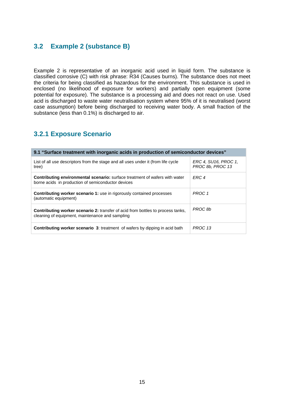## **3.2 Example 2 (substance B)**

Example 2 is representative of an inorganic acid used in liquid form. The substance is classified corrosive (C) with risk phrase: R34 (Causes burns). The substance does not meet the criteria for being classified as hazardous for the environment. This substance is used in enclosed (no likelihood of exposure for workers) and partially open equipment (some potential for exposure). The substance is a processing aid and does not react on use. Used acid is discharged to waste water neutralisation system where 95% of it is neutralised (worst case assumption) before being discharged to receiving water body. A small fraction of the substance (less than 0.1%) is discharged to air.

## **3.2.1 Exposure Scenario**

| 9.1 "Surface treatment with inorganic acids in production of semiconductor devices"                                                       |                                          |  |  |
|-------------------------------------------------------------------------------------------------------------------------------------------|------------------------------------------|--|--|
| List of all use descriptors from the stage and all uses under it (from life cycle<br>tree)                                                | ERC 4, SU16, PROC 1,<br>PROC 8b, PROC 13 |  |  |
| <b>Contributing environmental scenario:</b> surface treatment of wafers with water<br>borne acids in production of semiconductor devices  | ERC <sub>4</sub>                         |  |  |
| <b>Contributing worker scenario 1:</b> use in rigorously contained processes<br>(automatic equipment)                                     | PROC 1                                   |  |  |
| <b>Contributing worker scenario 2:</b> transfer of acid from bottles to process tanks,<br>cleaning of equipment, maintenance and sampling | PROC 8b                                  |  |  |
| <b>Contributing worker scenario 3: treatment of wafers by dipping in acid bath</b>                                                        | PROC 13                                  |  |  |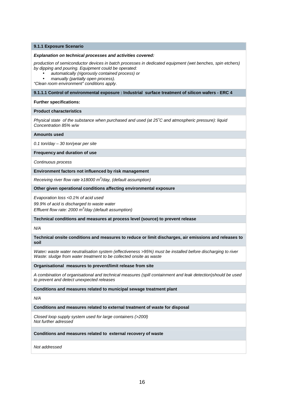#### **9.1.1 Exposure Scenario**

#### **Explanation on technical processes and activities covered:**

production of semiconductor devices in batch processes in dedicated equipment (wet benches, spin etchers) by dipping and pouring. Equipment could be operated:

• automatically (rigorously contained process) or

• manually (partially open process).

"Clean room environment" conditions apply.

#### **9.1.1.1 Control of environmental exposure : Industrial surface treatment of silicon wafers - ERC 4**

#### **Further specifications:**

#### **Product characteristics**

Physical state of the substance when purchased and used (at 25˚C and atmospheric pressure): liquid Concentration 85% w/w

#### **Amounts used**

0.1 ton/day – 30 ton/year per site

#### **Frequency and duration of use**

Continuous process

#### **Environment factors not influenced by risk management**

Receiving river flow rate ≥18000 m<sup>3</sup>/day, (default assumption)

#### **Other given operational conditions affecting environmental exposure**

Evaporation loss <0.1% of acid used 99.9% of acid is discharged to waste water Effluent flow rate: 2000  $m^3$ /day (default assumption)

**Technical conditions and measures at process level (source) to prevent release** 

N/A

**Technical onsite conditions and measures to reduce or limit discharges, air emissions and releases to soil** 

Water**:** waste water neutralisation system (effectiveness >95%) must be installed before discharging to river Waste: sludge from water treatment to be collected onsite as waste

#### **Organisational measures to prevent/limit release from site**

A combination of organisational and technical measures (spill containment and leak detection)should be used to prevent and detect unexpected releases

**Conditions and measures related to municipal sewage treatment plant** 

N/A

#### **Conditions and measures related to external treatment of waste for disposal**

Closed loop supply system used for large containers (>200l) Not further adressed

**Conditions and measures related to external recovery of waste**

Not addressed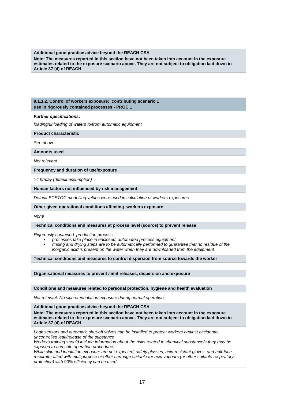#### **Additional good practice advice beyond the REACH CSA**

**Note: The measures reported in this section have not been taken into account in the exposure estimates related to the exposure scenario above. They are not subject to obligation laid down in Article 37 (4) of REACH** 

### **9.1.1.2. Control of workers exposure: contributing scenario 1 use in rigorously contained processes - PROC 1**

**Further specifications:** 

loading/unloading of wafers to/from automatic equipment

**Product characteristic** 

See above

**Amounts used** 

Not relevant

**Frequency and duration of use/exposure** 

>4 hr/day (default assumption)

**Human factors not influenced by risk management** 

Default ECETOC modelling values were used in calculation of workers exposures

**Other given operational conditions affecting workers exposure**

None

**Technical conditions and measures at process level (source) to prevent release** 

Rigorously contained production process:

- processes take place in enclosed, automated process equipment,
- rinsing and drying steps are to be automatically performed to guarantee that no residue of the inorganic acid is present on the wafer when they are downloaded from the equipment

**Technical conditions and measures to control dispersion from source towards the worker** 

**Organisational measures to prevent /limit releases, dispersion and exposure**

**Conditions and measures related to personal protection, hygiene and health evaluation** 

Not relevant. No skin or inhalation exposure during normal operation

**Additional good practice advice beyond the REACH CSA**

**Note: The measures reported in this section have not been taken into account in the exposure estimates related to the exposure scenario above. They are not subject to obligation laid down in Article 37 (4) of REACH**

Leak sensors and automatic shut-off valves can be installed to protect workers against accidental, uncontrolled leak/release of the substance

Workers training should include information about the risks related to chemical substance/s they may be exposed to and safe operation procedures

While skin and inhalation exposure are not expected, safety glasses, acid-resistant gloves, and half-face respirator fitted with multipurpose or other cartridge suitable for acid vapours (or other suitable respiratory protection) with 90% efficiency can be used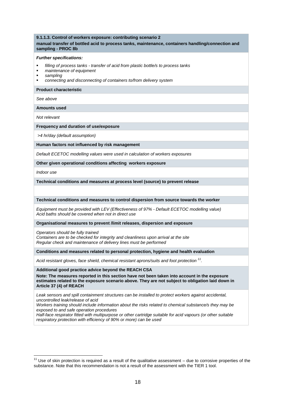### **9.1.1.3. Control of workers exposure: contributing scenario 2 manual transfer of bottled acid to process tanks, maintenance, containers handling/connection and sampling - PROC 8b**

#### **Further specifications:**

- filling of process tanks transfer of acid from plastic bottle/s to process tanks
- maintenance of equipment
- sampling
- connecting and disconnecting of containers to/from delivery system

**Product characteristic** 

See above

**Amounts used** 

Not relevant

#### **Frequency and duration of use/exposure**

>4 hr/day (default assumption)

**Human factors not influenced by risk management** 

Default ECETOC modelling values were used in calculation of workers exposures

**Other given operational conditions affecting workers exposure**

Indoor use

 $\overline{a}$ 

**Technical conditions and measures at process level (source) to prevent release** 

**Technical conditions and measures to control dispersion from source towards the worker** 

Equipment must be provided with LEV (Effectiveness of 97% - Default ECETOC modelling value) Acid baths should be covered when not in direct use

**Organisational measures to prevent /limit releases, dispersion and exposure**

Operators should be fully trained Containers are to be checked for integrity and cleanliness upon arrival at the site Regular check and maintenance of delivery lines must be performed

**Conditions and measures related to personal protection, hygiene and health evaluation** 

Acid resistant gloves, face shield, chemical resistant aprons/suits and foot protection  $^{11}$ .

**Additional good practice advice beyond the REACH CSA**

**Note: The measures reported in this section have not been taken into account in the exposure estimates related to the exposure scenario above. They are not subject to obligation laid down in Article 37 (4) of REACH**

Leak sensors and spill containment structures can be installed to protect workers against accidental, uncontrolled leak/release of acid

Workers training should include information about the risks related to chemical substance/s they may be exposed to and safe operation procedures

Half-face respirator fitted with multipurpose or other cartridge suitable for acid vapours (or other suitable respiratory protection with efficiency of 90% or more) can be used

 $11$  Use of skin protection is required as a result of the qualitative assessment – due to corrosive properties of the substance. Note that this recommendation is not a result of the assessment with the TIER 1 tool.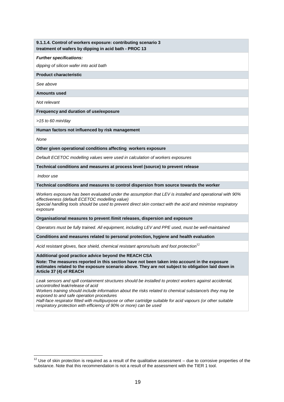### **9.1.1.4. Control of workers exposure: contributing scenario 3 treatment of wafers by dipping in acid bath - PROC 13**

#### **Further specifications:**

dipping of silicon wafer into acid bath

**Product characteristic** 

See above

**Amounts used** 

Not relevant

**Frequency and duration of use/exposure** 

>15 to 60 min/day

**Human factors not influenced by risk management** 

None

**Other given operational conditions affecting workers exposure**

Default ECETOC modelling values were used in calculation of workers exposures

**Technical conditions and measures at process level (source) to prevent release** 

Indoor use

 $\overline{a}$ 

**Technical conditions and measures to control dispersion from source towards the worker** 

Workers exposure has been evaluated under the assumption that LEV is installed and operational with 90% effectiveness (default ECETOC modelling value)

Special handling tools should be used to prevent direct skin contact with the acid and minimise respiratory exposure

**Organisational measures to prevent /limit releases, dispersion and exposure**

Operators must be fully trained. All equipment, including LEV and PPE used, must be well-maintained

**Conditions and measures related to personal protection, hygiene and health evaluation** 

Acid resistant gloves, face shield, chemical resistant aprons/suits and foot protection<sup>12</sup>

#### **Additional good practice advice beyond the REACH CSA**

**Note: The measures reported in this section have not been taken into account in the exposure estimates related to the exposure scenario above. They are not subject to obligation laid down in Article 37 (4) of REACH**

Leak sensors and spill containment structures should be installed to protect workers against accidental, uncontrolled leak/release of acid

Workers training should include information about the risks related to chemical substance/s they may be exposed to and safe operation procedures

Half-face respirator fitted with multipurpose or other cartridge suitable for acid vapours (or other suitable respiratory protection with efficiency of 90% or more) can be used

 $12$  Use of skin protection is required as a result of the qualitative assessment – due to corrosive properties of the substance. Note that this recommendation is not a result of the assessment with the TIER 1 tool.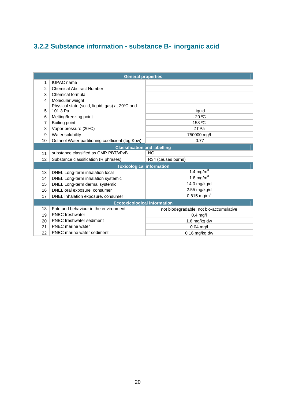# **3.2.2 Substance information - substance B- inorganic acid**

| <b>General properties</b>           |                                                  |                                         |  |  |
|-------------------------------------|--------------------------------------------------|-----------------------------------------|--|--|
| 1                                   | <b>IUPAC</b> name                                |                                         |  |  |
| $\overline{2}$                      | <b>Chemical Abstract Number</b>                  |                                         |  |  |
| 3                                   | Chemical formula                                 |                                         |  |  |
| 4                                   | Molecular weight                                 |                                         |  |  |
|                                     | Physical state (solid, liquid, gas) at 20°C and  |                                         |  |  |
| 5                                   | 101.3 Pa                                         | Liquid                                  |  |  |
| 6                                   | Melting/freezing point                           | $-20$ °C                                |  |  |
| 7                                   | Boiling point                                    | 158 °C                                  |  |  |
| 8                                   | Vapor pressure (20°C)                            | 2 <sub>hPa</sub>                        |  |  |
| 9                                   | Water solubility                                 | 750000 mg/l                             |  |  |
| 10                                  | Octanol Water partitioning coefficient (log Kow) | $-0.77$                                 |  |  |
| <b>Classification and labelling</b> |                                                  |                                         |  |  |
| 11                                  | substance classified as CMR PBT/vPvB             | NO                                      |  |  |
| 12                                  | Substance classification (R phrases)             | R34 (causes burns)                      |  |  |
|                                     | <b>Toxicological information</b>                 |                                         |  |  |
| 13                                  | DNEL Long-term inhalation local                  | 1.4 mg/m $3$                            |  |  |
| 14                                  | DNEL Long-term inhalation systemic               | 1.8 mg/m $3$                            |  |  |
| 15                                  | DNEL Long-term dermal systemic                   | 14.0 mg/kg/d                            |  |  |
| 16                                  | DNEL oral exposure, consumer                     | 2.55 mg/kg/d                            |  |  |
| 17                                  | DNEL inhalation exposure, consumer               | $0.815$ mg/m <sup>3</sup>               |  |  |
| <b>Ecotoxicological information</b> |                                                  |                                         |  |  |
| 18                                  | Fate and behaviour in the environment            | not biodegradable; not bio-accumulative |  |  |
| 19                                  | <b>PNEC</b> freshwater                           | $0.4$ mg/l                              |  |  |
| 20                                  | <b>PNEC</b> freshwater sediment                  | 1.6 mg/kg dw                            |  |  |
| 21                                  | <b>PNEC</b> marine water                         | $0.04$ mg/l                             |  |  |
| 22                                  | PNEC marine water sediment                       | $0.16$ mg/kg dw                         |  |  |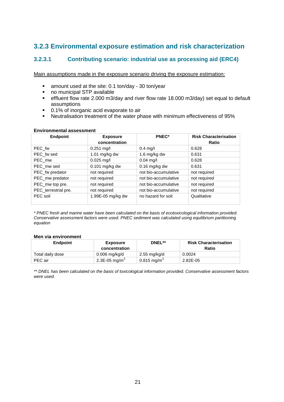## **3.2.3 Environmental exposure estimation and risk characterization**

## **3.2.3.1 Contributing scenario: industrial use as processing aid (ERC4)**

Main assumptions made in the exposure scenario driving the exposure estimation:

- amount used at the site: 0.1 ton/day 30 ton/year
- no municipal STP available
- effluent flow rate 2.000 m3/day and river flow rate 18.000 m3/day) set equal to default assumptions
- 0.1% of inorganic acid evaporate to air
- Neutralisation treatment of the water phase with minimum effectiveness of 95%

### **Environmental assessment**

| <b>Endpoint</b>      | <b>Exposure</b><br>concentration | <b>PNEC*</b>         | <b>Risk Characterisation</b><br>Ratio |
|----------------------|----------------------------------|----------------------|---------------------------------------|
| PEC fw               | $0.251$ mg/l                     | $0.4$ mg/l           | 0.628                                 |
| PEC fw sed           | 1.01 mg/kg dw                    | 1.6 mg/kg dw         | 0.631                                 |
| PEC mw               | $0.025$ mg/l                     | $0.04$ mg/l          | 0.628                                 |
| PEC mw sed           | $0.101$ mg/kg dw                 | $0.16$ mg/kg dw      | 0.631                                 |
| PEC_fw predator      | not required                     | not bio-accumulative | not required                          |
| PEC_mw predator      | not required                     | not bio-accumulative | not required                          |
| PEC_mw top pre.      | not required                     | not bio-accumulative | not required                          |
| PEC_terrestrial pre. | not required                     | not bio-accumulative | not required                          |
| PEC soil             | 1.99E-05 mg/kg dw                | no hazard for soil   | Qualitative                           |

\* PNEC fresh and marine water have been calculated on the basis of ecotoxicological information provided. Conservative assessment factors were used. PNEC sediment was calculated using equilibrium partitioning equation

### **Men via environment**

| <b>Endpoint</b>  | <b>Exposure</b>           | DNEL**                    | <b>Risk Characterisation</b> |
|------------------|---------------------------|---------------------------|------------------------------|
|                  | concentration             |                           | <b>Ratio</b>                 |
| Total daily dose | 0.006 mg/kg/d             | 2.55 mg/kg/d              | 0.0024                       |
| PEC air          | 2.3E-05 mg/m <sup>3</sup> | $0.815$ mg/m <sup>3</sup> | 2.82E-05                     |

\*\* DNEL has been calculated on the basis of toxicological information provided. Conservative assessment factors were used.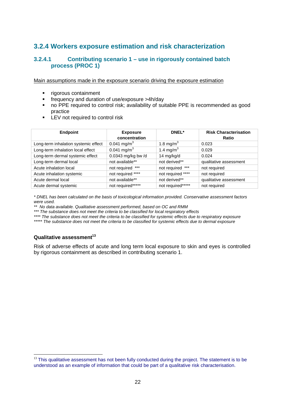## **3.2.4 Workers exposure estimation and risk characterization**

### **3.2.4.1 Contributing scenario 1 – use in rigorously contained batch process (PROC 1)**

Main assumptions made in the exposure scenario driving the exposure estimation

- **rigorous containment**
- frequency and duration of use/exposure >4h/day
- no PPE required to control risk; availability of suitable PPE is recommended as good practice
- **EX** not required to control risk

| <b>Endpoint</b>                      | <b>Exposure</b>         | DNEL*                 | <b>Risk Characterisation</b> |
|--------------------------------------|-------------------------|-----------------------|------------------------------|
|                                      | concentration           |                       | Ratio                        |
| Long-term inhalation systemic effect | 0.041 mg/m <sup>3</sup> | 1.8 mg/m <sup>3</sup> | 0.023                        |
| Long-term inhalation local effect    | 0.041 mg/m <sup>3</sup> | 1.4 mg/m <sup>3</sup> | 0.029                        |
| Long-term dermal systemic effect     | 0.0343 mg/kg bw/d       | 14 mg/kg/d            | 0.024                        |
| Long-term dermal local               | not available**         | not derived**         | qualitative assessment       |
| Acute inhalation local               | not required ***        | ***<br>not required   | not required                 |
| Acute inhalation systemic            | not required ****       | not required ****     | not required                 |
| Acute dermal local                   | not available**         | not derived**         | qualitative assessment       |
| Acute dermal systemic                | not required*****       | not required*****     | not required                 |

\* DNEL has been calculated on the basis of toxicological information provided. Conservative assessment factors were used.

\*\* No data available. Qualitative assessment performed, based on OC and RMM

\*\*\* The substance does not meet the criteria to be classified for local respiratory effects

\*\*\*\* The substance does not meet the criteria to be classified for systemic effects due to respiratory exposure

\*\*\*\*\* The substance does not meet the criteria to be classified for systemic effects due to dermal exposure

### **Qualitative assessment<sup>13</sup>**

 $\overline{a}$ 

Risk of adverse effects of acute and long term local exposure to skin and eyes is controlled by rigorous containment as described in contributing scenario 1.

<sup>&</sup>lt;sup>13</sup> This qualitative assessment has not been fully conducted during the project. The statement is to be understood as an example of information that could be part of a qualitative risk characterisation.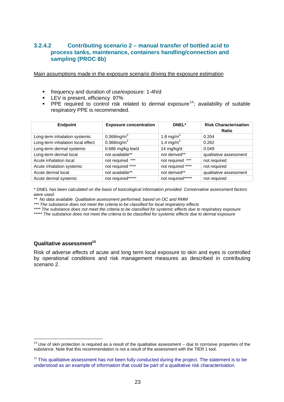### **3.2.4.2 Contributing scenario 2 – manual transfer of bottled acid to process tanks, maintenance, containers handling/connection and sampling (PROC 8b)**

Main assumptions made in the exposure scenario driving the exposure estimation

- frequency and duration of use/exposure: 1-4h/d
- **LEV** is present, efficiency 97%
- **PPE** required to control risk related to dermal exposure<sup>14</sup>; availability of suitable respiratory PPE is recommended.

| <b>Endpoint</b>                   | <b>Exposure concentration</b> | DNEL*                 | <b>Risk Characterisation</b><br>Ratio |
|-----------------------------------|-------------------------------|-----------------------|---------------------------------------|
| Long-term inhalation systemic     | $0.368$ mg/m <sup>3</sup>     | 1.8 mg/m <sup>3</sup> | 0.204                                 |
| Long-term inhalation local effect | $0.368$ mg/m <sup>3</sup>     | 1.4 mg/m <sup>3</sup> | 0.262                                 |
| Long-term dermal systemic         | $0.686$ mg/kg bw/d            | 14 mg/kg/d            | 0.049                                 |
| Long-term dermal local            | not available**               | not derived**         | qualitative assessment                |
| Acute inhalation local            | not required ***              | not required ***      | not required                          |
| Acute inhalation systemic         | not required ****             | not required ****     | not required                          |
| Acute dermal local                | not available**               | not derived**         | qualitative assessment                |
| Acute dermal systemic             | not required*****             | not required*****     | not required                          |

\* DNEL has been calculated on the basis of toxicological information provided. Conservative assessment factors were used.

\*\* No data available. Qualitative assessment performed, based on OC and RMM

\*\*\* The substance does not meet the criteria to be classified for local respiratory effects

\*\*\*\* The substance does not meet the criteria to be classified for systemic effects due to respiratory exposure

\*\*\*\*\* The substance does not meet the criteria to be classified for systemic effects due to dermal exposure

### **Qualitative assessment<sup>15</sup>**

Risk of adverse effects of acute and long term local exposure to skin and eyes is controlled by operational conditions and risk management measures as described in contributing scenario 2.

 $\overline{a}$  $14$  Use of skin protection is required as a result of the qualitative assessment – due to corrosive properties of the substance. Note that this recommendation is not a result of the assessment with the TIER 1 tool.

 $15$  This qualitative assessment has not been fully conducted during the project. The statement is to be understood as an example of information that could be part of a qualitative risk characterisation.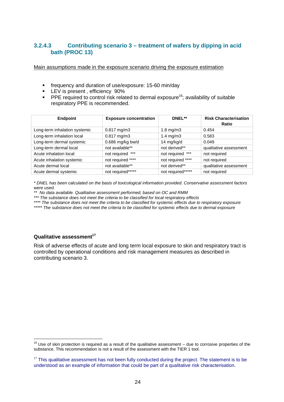## **3.2.4.3 Contributing scenario 3 – treatment of wafers by dipping in acid bath (PROC 13)**

Main assumptions made in the exposure scenario driving the exposure estimation

- frequency and duration of use/exposure: 15-60 min/day
- **LEV** is present, efficiency 90%
- **PPE required to control risk related to dermal exposure**<sup>16</sup>; availability of suitable respiratory PPE is recommended.

| <b>Endpoint</b>               | <b>Exposure concentration</b> | DNEL**               | <b>Risk Characterisation</b><br><b>Ratio</b> |
|-------------------------------|-------------------------------|----------------------|----------------------------------------------|
| Long-term inhalation systemic | $0.817$ mg/m3                 | $1.8 \text{ mg/m}$   | 0.454                                        |
| Long-term inhalation local    | $0.817$ mg/m3                 | $1.4 \text{ mg/m}$ 3 | 0.583                                        |
| Long-term dermal systemic     | 0.686 mg/kg bw/d              | 14 mg/kg/d           | 0.049                                        |
| Long-term dermal local        | not available**               | not derived**        | qualitative assessment                       |
| Acute inhalation local        | not required ***              | not required ***     | not required                                 |
| Acute inhalation systemic     | not required ****             | not required ****    | not required                                 |
| Acute dermal local            | not available**               | not derived**        | qualitative assessment                       |
| Acute dermal systemic         | not required*****             | not required*****    | not required                                 |

\* DNEL has been calculated on the basis of toxicological information provided. Conservative assessment factors were used.

\*\* No data available. Qualitative assessment performed, based on OC and RMM

\*\*\* The substance does not meet the criteria to be classified for local respiratory effects

\*\*\*\* The substance does not meet the criteria to be classified for systemic effects due to respiratory exposure

\*\*\*\*\* The substance does not meet the criteria to be classified for systemic effects due to dermal exposure

### **Qualitative assessment<sup>17</sup>**

Risk of adverse effects of acute and long term local exposure to skin and respiratory tract is controlled by operational conditions and risk management measures as described in contributing scenario 3.

 $\overline{a}$  $16$  Use of skin protection is required as a result of the qualitative assessment – due to corrosive properties of the substance. This recommendation is not a result of the assessment with the TIER 1 tool.

 $17$  This qualitative assessment has not been fully conducted during the project. The statement is to be understood as an example of information that could be part of a qualitative risk characterisation.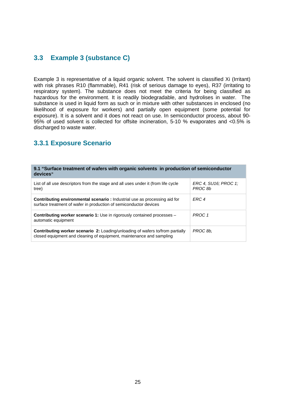## **3.3 Example 3 (substance C)**

Example 3 is representative of a liquid organic solvent. The solvent is classified Xi (Irritant) with risk phrases R10 (flammable), R41 (risk of serious damage to eyes), R37 (irritating to respiratory system). The substance does not meet the criteria for being classified as hazardous for the environment. It is readily biodegradable, and hydrolises in water. The substance is used in liquid form as such or in mixture with other substances in enclosed (no likelihood of exposure for workers) and partially open equipment (some potential for exposure). It is a solvent and it does not react on use. In semiconductor process, about 90- 95% of used solvent is collected for offsite incineration, 5-10 % evaporates and <0.5% is discharged to waste water.

## **3.3.1 Exposure Scenario**

#### **9.1 "Surface treatment of wafers with organic solvents in production of semiconductor devices"**

| List of all use descriptors from the stage and all uses under it (from life cycle<br>tree)                                                                   | ERC 4, SU16; PROC 1;<br>PROC 8b |
|--------------------------------------------------------------------------------------------------------------------------------------------------------------|---------------------------------|
| <b>Contributing environmental scenario:</b> Industrial use as processing aid for<br>surface treatment of wafer in production of semiconductor devices        | FRC 4                           |
| <b>Contributing worker scenario 1:</b> Use in rigorously contained processes –<br>automatic equipment                                                        | PROC 1                          |
| <b>Contributing worker scenario 2:</b> Loading/unloading of wafers to/from partially<br>closed equipment and cleaning of equipment, maintenance and sampling | PROC 8b.                        |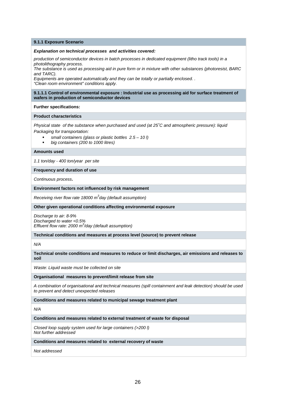#### **9.1.1 Exposure Scenario**

#### **Explanation on technical processes and activities covered:**

production of semiconductor devices in batch processes in dedicated equipment (litho track tools) in a photolithography process.

The substance is used as processing aid in pure form or in mixture with other substances (photoresist, BARC and TARC).

Equipments are operated automatically and they can be totally or partially enclosed. . "Clean room environment" conditions apply.

#### **9.1.1.1 Control of environmental exposure : Industrial use as processing aid for surface treatment of wafers in production of semiconductor devices**

#### **Further specifications:**

#### **Product characteristics**

Physical state of the substance when purchased and used (at 25˚C and atmospheric pressure): liquid Packaging for transportation:

- small containers (glass or plastic bottles 2.5 10 l)
- big containers (200 to 1000 litres)

#### **Amounts used**

1.1 ton/day - 400 ton/year per site

#### **Frequency and duration of use**

Continuous process**.** 

#### **Environment factors not influenced by risk management**

Receiving river flow rate 18000  $m^3$ day (default assumption)

#### **Other given operational conditions affecting environmental exposure**

Discharge to air: 8-9% Discharged to water <0.5% Effluent flow rate: 2000  $m^3$ /day (default assumption)

**Technical conditions and measures at process level (source) to prevent release** 

N/A

**Technical onsite conditions and measures to reduce or limit discharges, air emissions and releases to soil** 

Waste: Liquid waste must be collected on site

#### **Organisational measures to prevent/limit release from site**

A combination of organisational and technical measures (spill containment and leak detection) should be used to prevent and detect unexpected releases

**Conditions and measures related to municipal sewage treatment plant** 

N/A

#### **Conditions and measures related to external treatment of waste for disposal**

Closed loop supply system used for large containers (>200 l) Not further addressed

#### **Conditions and measures related to external recovery of waste**

Not addressed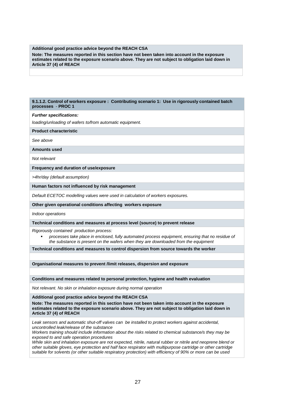#### **Additional good practice advice beyond the REACH CSA**

**Note: The measures reported in this section have not been taken into account in the exposure estimates related to the exposure scenario above. They are not subject to obligation laid down in Article 37 (4) of REACH**

#### **9.1.1.2. Control of workers exposure : Contributing scenario 1: Use in rigorously contained batch processes** - **PROC 1**

#### **Further specifications:**

loading/unloading of wafers to/from automatic equipment.

#### **Product characteristic**

See above

**Amounts used** 

Not relevant

#### **Frequency and duration of use/exposure**

>4hr/day (default assumption)

#### **Human factors not influenced by risk management**

Default ECETOC modelling values were used in calculation of workers exposures.

#### **Other given operational conditions affecting workers exposure**

Indoor operations

#### **Technical conditions and measures at process level (source) to prevent release**

Rigorously contained production process:

 processes take place in enclosed, fully automated process equipment, ensuring that no residue of the substance is present on the wafers when they are downloaded from the equipment

**Technical conditions and measures to control dispersion from source towards the worker** 

**Organisational measures to prevent /limit releases, dispersion and exposure**

#### **Conditions and measures related to personal protection, hygiene and health evaluation**

Not relevant. No skin or inhalation exposure during normal operation

#### **Additional good practice advice beyond the REACH CSA**

**Note: The measures reported in this section have not been taken into account in the exposure estimates related to the exposure scenario above. They are not subject to obligation laid down in Article 37 (4) of REACH**

Leak sensors and automatic shut-off valves can be installed to protect workers against accidental, uncontrolled leak/release of the substance

Workers training should include information about the risks related to chemical substance/s they may be exposed to and safe operation procedures

While skin and inhalation exposure are not expected, nitrile, natural rubber or nitrile and neoprene blend or other suitable gloves, eye protection and half face respirator with multipurpose cartridge or other cartridge suitable for solvents (or other suitable respiratory protection) with efficiency of 90% or more can be used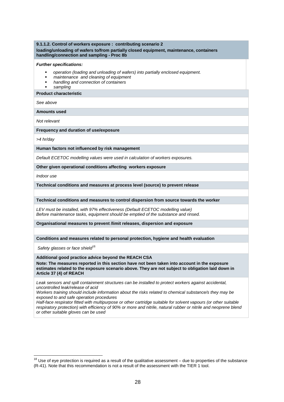#### **9.1.1.2. Control of workers exposure : contributing scenario 2 loading/unloading of wafers to/from partially closed equipment, maintenance, containers handling/connection and sampling - Proc 8b**

#### **Further specifications:**

- operation (loading and unloading of wafers) into partially enclosed equipment.
- maintenance and cleaning of equipment
- handling and connection of containers
- sampling

### **Product characteristic**

See above

**Amounts used**

Not relevant

**Frequency and duration of use/exposure**

>4 hr/day

**Human factors not influenced by risk management**

Default ECETOC modelling values were used in calculation of workers exposures.

**Other given operational conditions affecting workers exposure**

Indoor use

 $\overline{a}$ 

**Technical conditions and measures at process level (source) to prevent release**

**Technical conditions and measures to control dispersion from source towards the worker**

LEV must be installed, with 97% effectiveness (Default ECETOC modelling value) Before maintenance tasks, equipment should be emptied of the substance and rinsed.

**Organisational measures to prevent /limit releases, dispersion and exposure**

**Conditions and measures related to personal protection, hygiene and health evaluation**

Safety glasses or face shield $18$ 

**Additional good practice advice beyond the REACH CSA**

**Note: The measures reported in this section have not been taken into account in the exposure estimates related to the exposure scenario above. They are not subject to obligation laid down in Article 37 (4) of REACH**

Leak sensors and spill containment structures can be installed to protect workers against accidental, uncontrolled leak/release of acid

Workers training should include information about the risks related to chemical substance/s they may be exposed to and safe operation procedures

Half-face respirator fitted with multipurpose or other cartridge suitable for solvent vapours (or other suitable respiratory protection) with efficiency of 90% or more and nitrile, natural rubber or nitrile and neoprene blend or other suitable gloves can be used

 $18$  Use of eye protection is required as a result of the qualitative assessment – due to properties of the substance (R-41). Note that this recommendation is not a result of the assessment with the TIER 1 tool.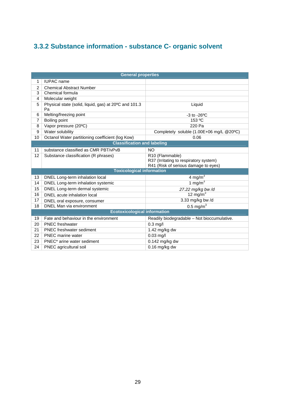# **3.3.2 Substance information - substance C- organic solvent**

|    | <b>General properties</b>                                   |                                                                                                   |  |  |  |
|----|-------------------------------------------------------------|---------------------------------------------------------------------------------------------------|--|--|--|
| 1  | <b>IUPAC</b> name                                           |                                                                                                   |  |  |  |
| 2  | <b>Chemical Abstract Number</b>                             |                                                                                                   |  |  |  |
| 3  | Chemical formula                                            |                                                                                                   |  |  |  |
| 4  | Molecular weight                                            |                                                                                                   |  |  |  |
| 5  | Physical state (solid, liquid, gas) at 20°C and 101.3<br>Pa | Liquid                                                                                            |  |  |  |
| 6  | Melting/freezing point                                      | $-3$ to $-26$ <sup>o</sup> C                                                                      |  |  |  |
| 7  | Boiling point                                               | 153 °C                                                                                            |  |  |  |
| 8  | Vapor pressure (20°C)                                       | 220 Pa                                                                                            |  |  |  |
| 9  | Water solubility                                            | Completely soluble (1.00E+06 mg/L @20°C)                                                          |  |  |  |
| 10 | Octanol Water partitioning coefficient (log Kow)            | 0.06                                                                                              |  |  |  |
|    | <b>Classification and labeling</b>                          |                                                                                                   |  |  |  |
| 11 | substance classified as CMR PBT/vPvB                        | <b>NO</b>                                                                                         |  |  |  |
| 12 | Substance classification (R phrases)                        | R10 (Flammable)<br>R37 (Irritating to respiratory system)<br>R41 (Risk of serious damage to eyes) |  |  |  |
|    | <b>Toxicological information</b>                            |                                                                                                   |  |  |  |
| 13 | DNEL Long-term inhalation local                             | 4 mg/m $3$                                                                                        |  |  |  |
| 14 | DNEL Long-term inhalation systemic                          | 1 mg/m $3$                                                                                        |  |  |  |
| 15 | DNEL Long-term dermal systemic                              | 27.22 mg/kg bw/d                                                                                  |  |  |  |
| 16 | DNEL acute inhalation local                                 | 12 mg/m $3$                                                                                       |  |  |  |
| 17 | DNEL oral exposure, consumer                                | 3.33 mg/kg bw/d                                                                                   |  |  |  |
| 18 | DNEL Man via environment                                    | $0.5 \text{ mg/m}^3$                                                                              |  |  |  |
|    | <b>Ecotoxicological information</b>                         |                                                                                                   |  |  |  |
| 19 | Fate and behaviour in the environment                       | Readily biodegradable - Not bioccumulative.                                                       |  |  |  |
| 20 | <b>PNEC</b> freshwater                                      | $0.3$ mg/l                                                                                        |  |  |  |
| 21 | <b>PNEC</b> freshwater sediment                             | 1.42 mg/kg dw                                                                                     |  |  |  |
| 22 | <b>PNEC</b> marine water                                    | $0.03$ mg/l                                                                                       |  |  |  |
| 23 | PNEC* arine water sediment                                  | 0.142 mg/kg dw                                                                                    |  |  |  |
| 24 | PNEC agricultural soil                                      | $0.16$ mg/kg dw                                                                                   |  |  |  |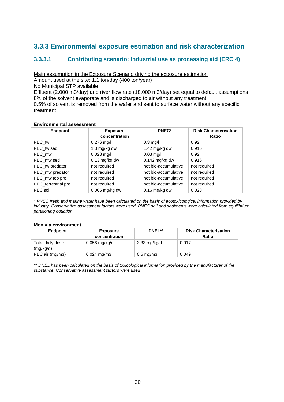## **3.3.3 Environmental exposure estimation and risk characterization**

### **3.3.3.1 Contributing scenario: Industrial use as processing aid (ERC 4)**

Main assumption in the Exposure Scenario driving the exposure estimation

Amount used at the site: 1.1 ton/day (400 ton/year)

No Municipal STP available

Effluent (2.000 m3/day) and river flow rate (18.000 m3/day) set equal to default assumptions 8% of the solvent evaporate and is discharged to air without any treatment

0.5% of solvent is removed from the wafer and sent to surface water without any specific treatment

### **Environmental assessment**

| <b>Endpoint</b>      | <b>Exposure</b><br>concentration | <b>PNEC*</b>         | <b>Risk Characterisation</b><br>Ratio |
|----------------------|----------------------------------|----------------------|---------------------------------------|
| PEC fw               | $0.276$ mg/l                     | $0.3$ mg/l           | 0.92                                  |
| PEC_fw sed           | 1.3 mg/kg dw                     | 1.42 mg/kg dw        | 0.916                                 |
| PEC_mw               | $0.028$ mg/l                     | $0.03$ mg/l          | 0.92                                  |
| PEC_mw sed           | $0.13$ mg/kg dw                  | $0.142$ mg/kg dw     | 0.916                                 |
| PEC_fw predator      | not required                     | not bio-accumulative | not required                          |
| PEC_mw predator      | not required                     | not bio-accumulative | not required                          |
| PEC_mw top pre.      | not required                     | not bio-accumulative | not required                          |
| PEC_terrestrial pre. | not required                     | not bio-accumulative | not required                          |
| PEC soil             | $0.005$ mg/kg dw                 | $0.16$ mg/kg dw      | 0.028                                 |

\* PNEC fresh and marine water have been calculated on the basis of ecotoxicological information provided by industry. Conservative assessment factors were used. PNEC soil and sediments were calculated from equilibrium partitioning equation

### **Men via environment**

| <b>Endpoint</b>               | <b>Exposure</b><br>concentration | DNEL**               | <b>Risk Characterisation</b><br>Ratio |
|-------------------------------|----------------------------------|----------------------|---------------------------------------|
| Total daily dose<br>(mg/kg/d) | $0.056$ mg/kg/d                  | 3.33 mg/kg/d         | 0.017                                 |
| PEC air (mg/m3)               | $0.024 \text{ mg/m}$ 3           | $0.5 \text{ mg/m}$ 3 | 0.049                                 |

\*\* DNEL has been calculated on the basis of toxicological information provided by the manufacturer of the substance. Conservative assessment factors were used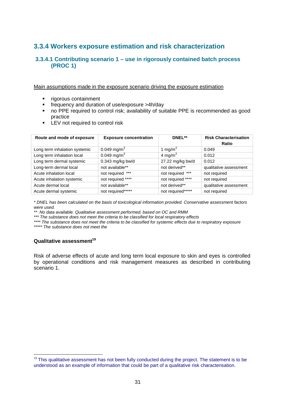## **3.3.4 Workers exposure estimation and risk characterization**

### **3.3.4.1 Contributing scenario 1 – use in rigorously contained batch process (PROC 1)**

Main assumptions made in the exposure scenario driving the exposure estimation

- **rigorous containment**
- frequency and duration of use/exposure >4h/day
- no PPE required to control risk; availability of suitable PPE is recommended as good practice
- **LEV** not required to control risk

| Route and mode of exposure    | <b>Exposure concentration</b> | DNEL**              | <b>Risk Characterisation</b><br>Ratio |
|-------------------------------|-------------------------------|---------------------|---------------------------------------|
| Long term inhalation systemic | 0.049 mg/m <sup>3</sup>       | 1 mg/m $3$          | 0.049                                 |
| Long term inhalation local    | 0.049 mg/m <sup>3</sup>       | 4 mg/m <sup>3</sup> | 0.012                                 |
| Long term dermal systemic     | $0.343$ mg/kg bw/d            | 27.22 mg/kg bw/d    | 0.012                                 |
| Long-term dermal local        | not available**               | not derived**       | qualitative assessment                |
| Acute inhalation local        | not required ***              | not required ***    | not required                          |
| Acute inhalation systemic     | not required ****             | not required ****   | not required                          |
| Acute dermal local            | not available**               | not derived**       | qualitative assessment                |
| Acute dermal systemic         | not required*****             | not required*****   | not required                          |

\* DNEL has been calculated on the basis of toxicological information provided. Conservative assessment factors were used.

\*\* No data available. Qualitative assessment performed, based on OC and RMM

\*\*\* The substance does not meet the criteria to be classified for local respiratory effects

\*\*\*\* The substance does not meet the criteria to be classified for systemic effects due to respiratory exposure \*\*\*\*\*\* The substance does not meet the

### **Qualitative assessment<sup>19</sup>**

 $\overline{a}$ 

Risk of adverse effects of acute and long term local exposure to skin and eyes is controlled by operational conditions and risk management measures as described in contributing scenario 1.

<sup>&</sup>lt;sup>19</sup> This qualitative assessment has not been fully conducted during the project. The statement is to be understood as an example of information that could be part of a qualitative risk characterisation.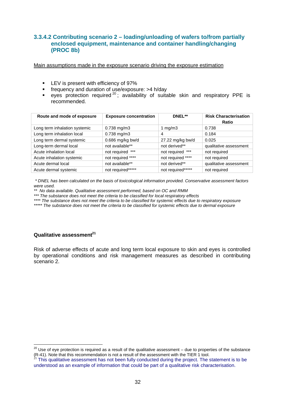### **3.3.4.2 Contributing scenario 2 – loading/unloading of wafers to/from partially enclosed equipment, maintenance and container handling/changing (PROC 8b)**

Main assumptions made in the exposure scenario driving the exposure estimation

- **LEV** is present with efficiency of 97%
- frequency and duration of use/exposure: >4 h/day
- eyes protection required<sup>20</sup>; availability of suitable skin and respiratory PPE is recommended.

| Route and mode of exposure    | <b>Exposure concentration</b> | DNEL**             | <b>Risk Characterisation</b><br>Ratio |
|-------------------------------|-------------------------------|--------------------|---------------------------------------|
| Long term inhalation systemic | $0.738$ mg/m $3$              | 1 mg/m $3$         | 0.738                                 |
| Long term inhalation local    | 0.738 mg/m3                   | 4                  | 0.184                                 |
| Long term dermal systemic     | 0.686 mg/kg bw/d              | 27.22 mg/kg bw/d   | 0.025                                 |
| Long-term dermal local        | not available**               | not derived**      | qualitative assessment                |
| Acute inhalation local        | not required ***              | not required ***   | not required                          |
| Acute inhalation systemic     | not required ****             | not required ****  | not required                          |
| Acute dermal local            | not available**               | not derived**      | qualitative assessment                |
| Acute dermal systemic         | not required*****             | not required****** | not required                          |

\* DNEL has been calculated on the basis of toxicological information provided. Conservative assessment factors were used.

\*\* No data available. Qualitative assessment performed, based on OC and RMM

\*\*\* The substance does not meet the criteria to be classified for local respiratory effects

\*\*\*\* The substance does not meet the criteria to be classified for systemic effects due to respiratory exposure \*\*\*\*\* The substance does not meet the criteria to be classified for systemic effects due to dermal exposure

### **Qualitative assessment<sup>21</sup>**

Risk of adverse effects of acute and long term local exposure to skin and eyes is controlled by operational conditions and risk management measures as described in contributing scenario 2.

 $\overline{\phantom{a}}$  $^{20}$  Use of eye protection is required as a result of the qualitative assessment – due to properties of the substance (R-41). Note that this recommendation is not a result of the assessment with the TIER 1 tool.

 $21$  This qualitative assessment has not been fully conducted during the project. The statement is to be understood as an example of information that could be part of a qualitative risk characterisation.